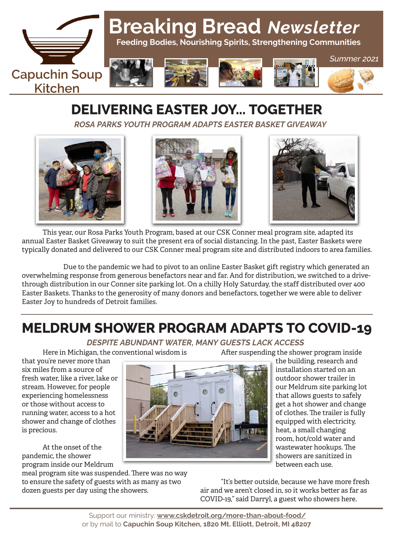

# **Breaking Bread** *Newsletter*

 **Feeding Bodies, Nourishing Spirits, Strengthening Communities**











*Summer 2021*

# **DELIVERING EASTER JOY... TOGETHER**

*ROSA PARKS YOUTH PROGRAM ADAPTS EASTER BASKET GIVEAWAY*







This year, our Rosa Parks Youth Program, based at our CSK Conner meal program site, adapted its annual Easter Basket Giveaway to suit the present era of social distancing. In the past, Easter Baskets were typically donated and delivered to our CSK Conner meal program site and distributed indoors to area families.

 Due to the pandemic we had to pivot to an online Easter Basket gift registry which generated an overwhelming response from generous benefactors near and far. And for distribution, we switched to a drivethrough distribution in our Conner site parking lot. On a chilly Holy Saturday, the staff distributed over 400 Easter Baskets. Thanks to the generosity of many donors and benefactors, together we were able to deliver Easter Joy to hundreds of Detroit families.

## **MELDRUM SHOWER PROGRAM ADAPTS TO COVID-19**

### *DESPITE ABUNDANT WATER, MANY GUESTS LACK ACCESS*

Here in Michigan, the conventional wisdom is

After suspending the shower program inside

that you're never more than six miles from a source of fresh water, like a river, lake or stream. However, for people experiencing homelessness or those without access to running water, access to a hot shower and change of clothes is precious.

At the onset of the pandemic, the shower program inside our Meldrum

meal program site was suspended. There was no way to ensure the safety of guests with as many as two dozen guests per day using the showers.

the building, research and installation started on an outdoor shower trailer in our Meldrum site parking lot that allows guests to safely get a hot shower and change of clothes. The trailer is fully equipped with electricity, heat, a small changing room, hot/cold water and wastewater hookups. The showers are sanitized in between each use.

"It's better outside, because we have more fresh air and we aren't closed in, so it works better as far as COVID-19," said Darryl, a guest who showers here.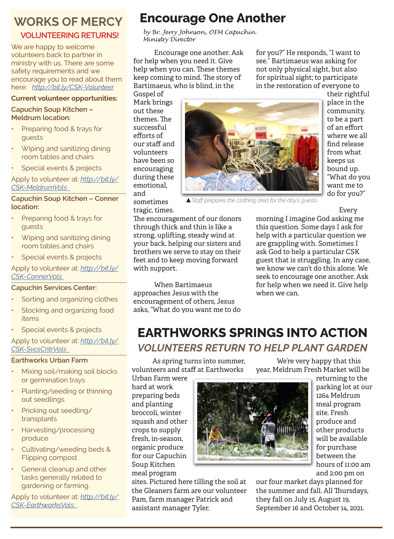### **WORKS OF MERCY**

### **VOLUNTEERING RETURNS!**

We are happy to welcome volunteers back to partner in ministry with us. There are some safety requirements and we encourage you to read about them here: *http://bit.ly/CSK-Volunteer*

#### **Current volunteer opportunities:**

**Capuchin Soup Kitchen – Meldrum location:**

- Preparing food & trays for guests
- Wiping and sanitizing dining room tables and chairs
- Special events & projects

Apply to volunteer at: *http://bit.ly/ CSK-MeldrumVols* 

#### **Capuchin Soup Kitchen – Conner location:**

- Preparing food & trays for guests
- Wiping and sanitizing dining room tables and chairs
- Special events & projects

Apply to volunteer at: *http://bit.ly/ CSK-ConnerVols* 

#### **Capuchin Services Center:**

- Sorting and organizing clothes
- Stocking and organizing food items
- Special events & projects

Apply to volunteer at: *http://bit.ly/ CSK-SvcsCntrVols* 

#### **Earthworks Urban Farm**

- Mixing soil/making soil blocks or germination trays
- Planting/seeding or thinning out seedlings
- Pricking out seedling/ transplants
- Harvesting/processing produce
- Cultivating/weeding beds & Flipping compost
- General cleanup and other tasks generally related to gardening or farming.

Apply to volunteer at: *http://bit.ly/ CSK-EarthworksVols* 

### **Encourage One Another**

*by Br. Jerry Johnson, OFM Capuchin Ministry Director*

Encourage one another. Ask for help when you need it. Give help when you can. These themes keep coming to mind. The story of Bartimaeus, who is blind, in the

Gospel of Mark brings out these themes. The successful efforts of our staff and volunteers have been so encouraging during these emotional, and sometimes



in the restoration of everyone to their rightful place in the community, to be a part of an effort where we all find release from what keeps us bound up. "What do you want me to do for you?"

▲*Staff prepares the clothing area for the day's guests.*

Every

tragic, times. The encouragement of our donors through thick and thin is like a strong, uplifting, steady wind at your back, helping our sisters and brothers we serve to stay on their feet and to keep moving forward with support.

When Bartimaeus approaches Jesus with the encouragement of others, Jesus asks, "What do you want me to do morning I imagine God asking me this question. Some days I ask for help with a particular question we are grappling with. Sometimes I ask God to help a particular CSK guest that is struggling. In any case, we know we can't do this alone. We seek to encourage one another. Ask for help when we need it. Give help when we can.

We're very happy that this year, Meldrum Fresh Market will be

for you?" He responds, "I want to see." Bartimaeus was asking for not only physical sight, but also for spiritual sight; to participate

### **EARTHWORKS SPRINGS INTO ACTION** *VOLUNTEERS RETURN TO HELP PLANT GARDEN*

As spring turns into summer, volunteers and staff at Earthworks

Urban Farm were hard at work preparing beds and planting broccoli, winter squash and other crops to supply fresh, in-season, organic produce for our Capuchin Soup Kitchen meal program

sites. Pictured here tilling the soil at the Gleaners farm are our volunteer Pam, farm manager Patrick and assistant manager Tyler.



returning to the parking lot at our 1264 Meldrum meal program site. Fresh produce and other products will be available for purchase between the hours of 11:00 am and 2:00 pm on

our four market days planned for the summer and fall. All Thursdays, they fall on July 15, August 19, September 16 and October 14, 2021.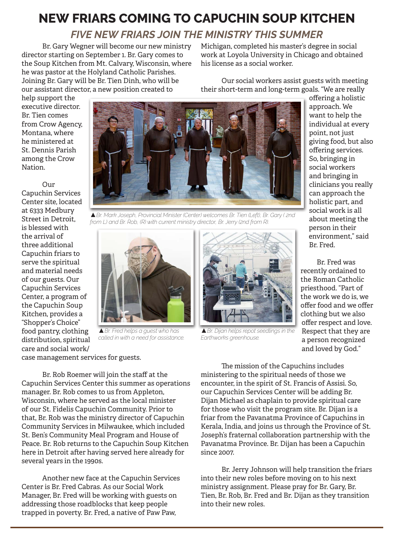### **NEW FRIARS COMING TO CAPUCHIN SOUP KITCHEN** *FIVE NEW FRIARS JOIN THE MINISTRY THIS SUMMER*

Br. Gary Wegner will become our new ministry director starting on September 1. Br. Gary comes to the Soup Kitchen from Mt. Calvary, Wisconsin, where he was pastor at the Holyland Catholic Parishes. Joining Br. Gary will be Br. Tien Dinh, who will be our assistant director, a new position created to

Michigan, completed his master's degree in social work at Loyola University in Chicago and obtained his license as a social worker.

Our social workers assist guests with meeting their short-term and long-term goals. "We are really

help support the executive director. Br. Tien comes from Crow Agency, Montana, where he ministered at St. Dennis Parish among the Crow Nation.

#### Our

Capuchin Services Center site, located at 6333 Medbury Street in Detroit, is blessed with the arrival of three additional Capuchin friars to serve the spiritual and material needs of our guests. Our Capuchin Services Center, a program of the Capuchin Soup Kitchen, provides a "Shopper's Choice" food pantry, clothing distribution, spiritual care and social work/ case management services for guests.



▲*Br. Mark Joseph, Provincial Minister (Center) welcomes Br. Tien (Left), Br. Gary ( 2nd from L) and Br. Rob, (R) with current ministry director, Br. Jerry (2nd from R).*



▲*Br. Fred helps a guest who has called in with a need for assistance.*

Br. Rob Roemer will join the staff at the Capuchin Services Center this summer as operations manager. Br. Rob comes to us from Appleton, Wisconsin, where he served as the local minister of our St. Fidelis Capuchin Community. Prior to that, Br. Rob was the ministry director of Capuchin Community Services in Milwaukee, which included St. Ben's Community Meal Program and House of Peace. Br. Rob returns to the Capuchin Soup Kitchen here in Detroit after having served here already for several years in the 1990s.

Another new face at the Capuchin Services Center is Br. Fred Cabras. As our Social Work Manager, Br. Fred will be working with guests on addressing those roadblocks that keep people trapped in poverty. Br. Fred, a native of Paw Paw,



▲*Br. Dijan helps repot seedlings in the Earthworks greenhouse.*

offering a holistic approach. We want to help the individual at every point, not just giving food, but also offering services. So, bringing in social workers and bringing in clinicians you really can approach the holistic part, and social work is all about meeting the person in their environment," said Br. Fred.

 Br. Fred was recently ordained to the Roman Catholic priesthood. "Part of the work we do is, we offer food and we offer clothing but we also offer respect and love. Respect that they are a person recognized and loved by God."

The mission of the Capuchins includes ministering to the spiritual needs of those we encounter, in the spirit of St. Francis of Assisi. So, our Capuchin Services Center will be adding Br. Dijan Michael as chaplain to provide spiritual care for those who visit the program site. Br. Dijan is a friar from the Pavanatma Province of Capuchins in Kerala, India, and joins us through the Province of St. Joseph's fraternal collaboration partnership with the Pavanatma Province. Br. Dijan has been a Capuchin since 2007.

Br. Jerry Johnson will help transition the friars into their new roles before moving on to his next ministry assignment. Please pray for Br. Gary, Br. Tien, Br. Rob, Br. Fred and Br. Dijan as they transition into their new roles.